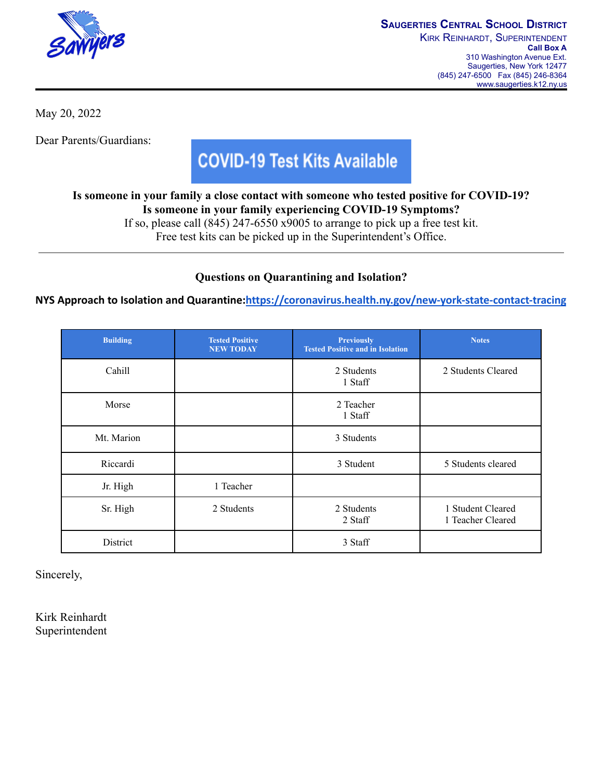

May 20, 2022

Dear Parents/Guardians:

## **COVID-19 Test Kits Available**

**Is someone in your family a close contact with someone who tested positive for COVID-19? Is someone in your family experiencing COVID-19 Symptoms?**

If so, please call (845) 247-6550 x9005 to arrange to pick up a free test kit.

Free test kits can be picked up in the Superintendent's Office.

## **Questions on Quarantining and Isolation?**

**NYS Approach to Isolation and Quarantine:<https://coronavirus.health.ny.gov/new-york-state-contact-tracing>**

| <b>Building</b> | <b>Tested Positive</b><br><b>NEW TODAY</b> | <b>Previously</b><br><b>Tested Positive and in Isolation</b> | <b>Notes</b>                           |
|-----------------|--------------------------------------------|--------------------------------------------------------------|----------------------------------------|
| Cahill          |                                            | 2 Students<br>1 Staff                                        | 2 Students Cleared                     |
| Morse           |                                            | 2 Teacher<br>1 Staff                                         |                                        |
| Mt. Marion      |                                            | 3 Students                                                   |                                        |
| Riccardi        |                                            | 3 Student                                                    | 5 Students cleared                     |
| Jr. High        | 1 Teacher                                  |                                                              |                                        |
| Sr. High        | 2 Students                                 | 2 Students<br>2 Staff                                        | 1 Student Cleared<br>1 Teacher Cleared |
| District        |                                            | 3 Staff                                                      |                                        |

Sincerely,

Kirk Reinhardt Superintendent